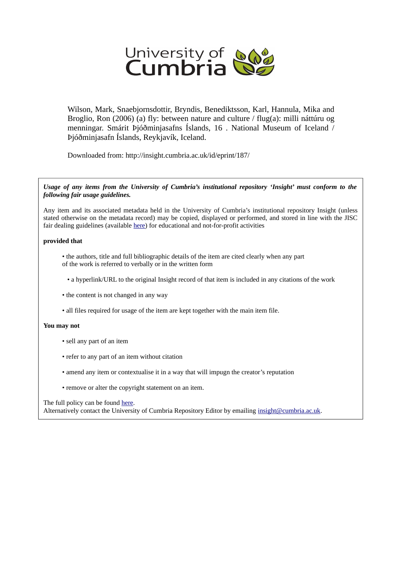

Wilson, Mark, Snaebjornsdottir, Bryndis, Benediktsson, Karl, Hannula, Mika and Broglio, Ron (2006) (a) fly: between nature and culture / flug(a): milli náttúru og menningar. Smárit Þjóðminjasafns Íslands, 16 . National Museum of Iceland / Þjóðminjasafn Íslands, Reykjavík, Iceland.

Downloaded from: http://insight.cumbria.ac.uk/id/eprint/187/

*Usage of any items from the University of Cumbria's institutional repository 'Insight' must conform to the following fair usage guidelines.*

Any item and its associated metadata held in the University of Cumbria's institutional repository Insight (unless stated otherwise on the metadata record) may be copied, displayed or performed, and stored in line with the JISC fair dealing guidelines (available [here\)](http://www.ukoln.ac.uk/services/elib/papers/pa/fair/) for educational and not-for-profit activities

## **provided that**

• the authors, title and full bibliographic details of the item are cited clearly when any part of the work is referred to verbally or in the written form

• a hyperlink/URL to the original Insight record of that item is included in any citations of the work

- the content is not changed in any way
- all files required for usage of the item are kept together with the main item file.

## **You may not**

- sell any part of an item
- refer to any part of an item without citation
- amend any item or contextualise it in a way that will impugn the creator's reputation
- remove or alter the copyright statement on an item.

## The full policy can be found [here.](http://insight.cumbria.ac.uk/legal.html#section5)

Alternatively contact the University of Cumbria Repository Editor by emailing [insight@cumbria.ac.uk.](mailto:insight@cumbria.ac.uk)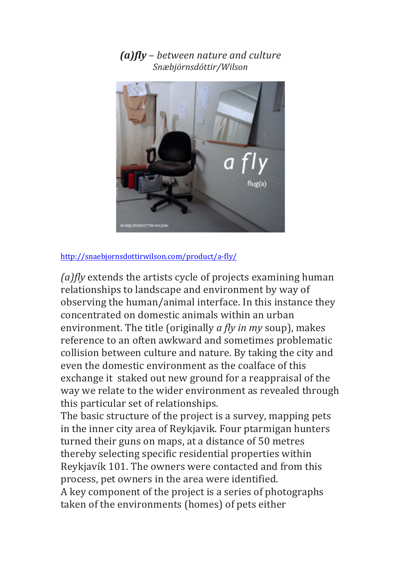*(a)fly* – *between nature and culture Snæbjörnsdóttir/Wilson*



## <http://snaebjornsdottirwilson.com/product/a-fly/>

*(a)fly* extends the artists cycle of projects examining human relationships to landscape and environment by way of observing the human/animal interface. In this instance they concentrated on domestic animals within an urban environment. The title (originally *a fly in my* soup), makes reference to an often awkward and sometimes problematic collision between culture and nature. By taking the city and even the domestic environment as the coalface of this exchange it staked out new ground for a reappraisal of the way we relate to the wider environment as revealed through this particular set of relationships.

The basic structure of the project is a survey, mapping pets in the inner city area of Reykjavik. Four ptarmigan hunters turned their guns on maps, at a distance of 50 metres thereby selecting specific residential properties within Reykjavík 101. The owners were contacted and from this process, pet owners in the area were identified. A key component of the project is a series of photographs taken of the environments (homes) of pets either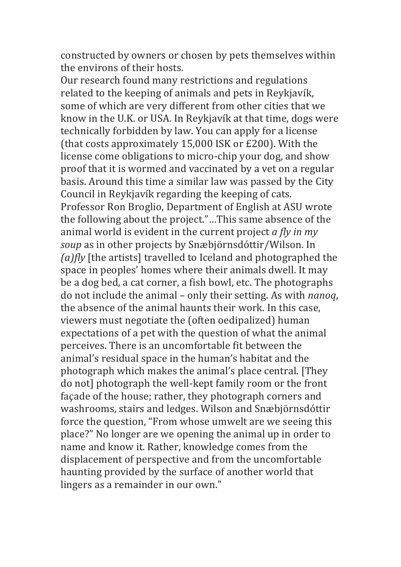constructed by owners or chosen by pets themselves within the environs of their hosts.

Our research found many restrictions and regulations related to the keeping of animals and pets in Reykjavík, some of which are very different from other cities that we know in the U.K. or USA. In Reykjavík at that time, dogs were technically forbidden by law. You can apply for a license (that costs approximately  $15,000$  ISK or  $£200$ ). With the license come obligations to micro-chip your dog, and show proof that it is wormed and vaccinated by a vet on a regular basis. Around this time a similar law was passed by the City Council in Reykjavík regarding the keeping of cats. Professor Ron Broglio, Department of English at ASU wrote the following about the project."...This same absence of the animal world is evident in the current project *a fly in my soup* as in other projects by Snæbjörnsdóttir/Wilson. In *(a)fly* [the artists] travelled to Iceland and photographed the space in peoples' homes where their animals dwell. It may be a dog bed, a cat corner, a fish bowl, etc. The photographs do not include the animal – only their setting. As with *nanoq*, the absence of the animal haunts their work. In this case, viewers must negotiate the (often oedipalized) human expectations of a pet with the question of what the animal perceives. There is an uncomfortable fit between the animal's residual space in the human's habitat and the photograph which makes the animal's place central. [They do not] photograph the well-kept family room or the front façade of the house; rather, they photograph corners and washrooms, stairs and ledges. Wilson and Snæbjörnsdóttir force the question, "From whose umwelt are we seeing this place?" No longer are we opening the animal up in order to name and know it. Rather, knowledge comes from the displacement of perspective and from the uncomfortable haunting provided by the surface of another world that lingers as a remainder in our own."